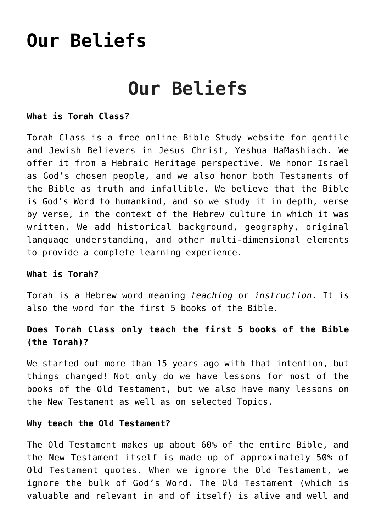# **[Our Beliefs](https://torahclass.com/our-beliefs/)**

# **Our Beliefs**

## **What is Torah Class?**

Torah Class is a free online Bible Study website for gentile and Jewish Believers in Jesus Christ, Yeshua HaMashiach. We offer it from a Hebraic Heritage perspective. We honor Israel as God's chosen people, and we also honor both Testaments of the Bible as truth and infallible. We believe that the Bible is God's Word to humankind, and so we study it in depth, verse by verse, in the context of the Hebrew culture in which it was written. We add historical background, geography, original language understanding, and other multi-dimensional elements to provide a complete learning experience.

## **What is Torah?**

Torah is a Hebrew word meaning *teaching* or *instruction*. It is also the word for the first 5 books of the Bible.

# **Does Torah Class only teach the first 5 books of the Bible (the Torah)?**

We started out more than 15 years ago with that intention, but things changed! Not only do we have lessons for most of the books of the Old Testament, but we also have many lessons on the New Testament as well as on selected Topics.

#### **Why teach the Old Testament?**

The Old Testament makes up about 60% of the entire Bible, and the New Testament itself is made up of approximately 50% of Old Testament quotes. When we ignore the Old Testament, we ignore the bulk of God's Word. The Old Testament (which is valuable and relevant in and of itself) is alive and well and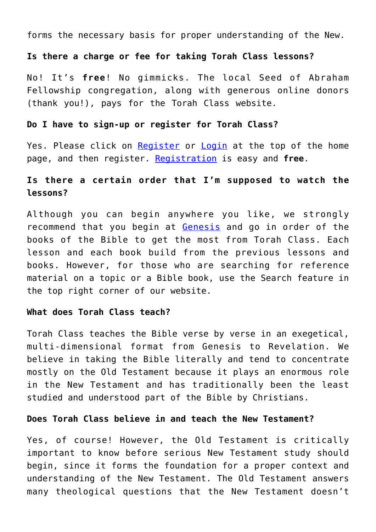forms the necessary basis for proper understanding of the New.

## **Is there a charge or fee for taking Torah Class lessons?**

No! It's **free**! No gimmicks. The local Seed of Abraham Fellowship congregation, along with generous online donors (thank you!), pays for the Torah Class website.

## **Do I have to sign-up or register for Torah Class?**

Yes. Please click on [Register](https://torahclass.com/user-register) or [Login](https://torahclass.com/user-login) at the top of the home page, and then register. [Registration](https://torahclass.com/user-register) is easy and **free**.

# **Is there a certain order that I'm supposed to watch the lessons?**

Although you can begin anywhere you like, we strongly recommend that you begin at [Genesis](https://torahclass.com/teacher/author/tom-bradford/old-testament-studies/old-testament-studies-genesis) and go in order of the books of the Bible to get the most from Torah Class. Each lesson and each book build from the previous lessons and books. However, for those who are searching for reference material on a topic or a Bible book, use the Search feature in the top right corner of our website.

## **What does Torah Class teach?**

Torah Class teaches the Bible verse by verse in an exegetical, multi-dimensional format from Genesis to Revelation. We believe in taking the Bible literally and tend to concentrate mostly on the Old Testament because it plays an enormous role in the New Testament and has traditionally been the least studied and understood part of the Bible by Christians.

## **Does Torah Class believe in and teach the New Testament?**

Yes, of course! However, the Old Testament is critically important to know before serious New Testament study should begin, since it forms the foundation for a proper context and understanding of the New Testament. The Old Testament answers many theological questions that the New Testament doesn't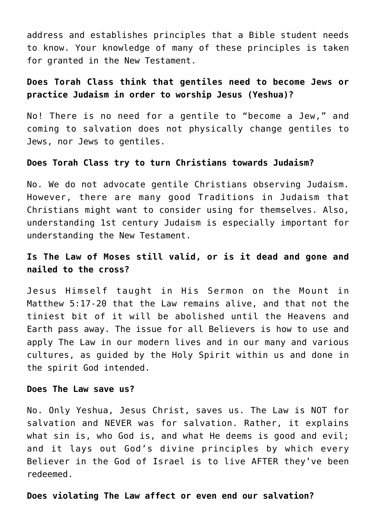address and establishes principles that a Bible student needs to know. Your knowledge of many of these principles is taken for granted in the New Testament.

# **Does Torah Class think that gentiles need to become Jews or practice Judaism in order to worship Jesus (Yeshua)?**

No! There is no need for a gentile to "become a Jew," and coming to salvation does not physically change gentiles to Jews, nor Jews to gentiles.

#### **Does Torah Class try to turn Christians towards Judaism?**

No. We do not advocate gentile Christians observing Judaism. However, there are many good Traditions in Judaism that Christians might want to consider using for themselves. Also, understanding 1st century Judaism is especially important for understanding the New Testament.

# **Is The Law of Moses still valid, or is it dead and gone and nailed to the cross?**

Jesus Himself taught in His Sermon on the Mount in Matthew 5:17-20 that the Law remains alive, and that not the tiniest bit of it will be abolished until the Heavens and Earth pass away. The issue for all Believers is how to use and apply The Law in our modern lives and in our many and various cultures, as guided by the Holy Spirit within us and done in the spirit God intended.

#### **Does The Law save us?**

No. Only Yeshua, Jesus Christ, saves us. The Law is NOT for salvation and NEVER was for salvation. Rather, it explains what sin is, who God is, and what He deems is good and evil; and it lays out God's divine principles by which every Believer in the God of Israel is to live AFTER they've been redeemed.

#### **Does violating The Law affect or even end our salvation?**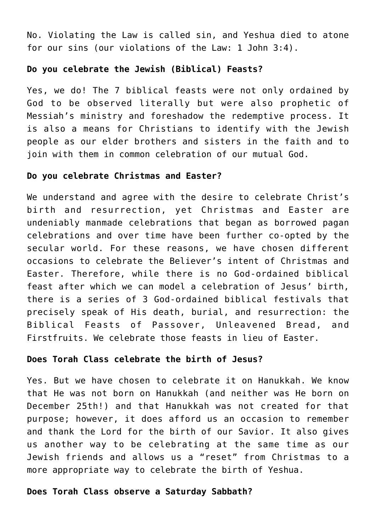No. Violating the Law is called sin, and Yeshua died to atone for our sins (our violations of the Law: 1 John 3:4).

## **Do you celebrate the Jewish (Biblical) Feasts?**

Yes, we do! The 7 biblical feasts were not only ordained by God to be observed literally but were also prophetic of Messiah's ministry and foreshadow the redemptive process. It is also a means for Christians to identify with the Jewish people as our elder brothers and sisters in the faith and to join with them in common celebration of our mutual God.

## **Do you celebrate Christmas and Easter?**

We understand and agree with the desire to celebrate Christ's birth and resurrection, yet Christmas and Easter are undeniably manmade celebrations that began as borrowed pagan celebrations and over time have been further co-opted by the secular world. For these reasons, we have chosen different occasions to celebrate the Believer's intent of Christmas and Easter. Therefore, while there is no God-ordained biblical feast after which we can model a celebration of Jesus' birth, there is a series of 3 God-ordained biblical festivals that precisely speak of His death, burial, and resurrection: the Biblical Feasts of Passover, Unleavened Bread, and Firstfruits. We celebrate those feasts in lieu of Easter.

## **Does Torah Class celebrate the birth of Jesus?**

Yes. But we have chosen to celebrate it on Hanukkah. We know that He was not born on Hanukkah (and neither was He born on December 25th!) and that Hanukkah was not created for that purpose; however, it does afford us an occasion to remember and thank the Lord for the birth of our Savior. It also gives us another way to be celebrating at the same time as our Jewish friends and allows us a "reset" from Christmas to a more appropriate way to celebrate the birth of Yeshua.

## **Does Torah Class observe a Saturday Sabbath?**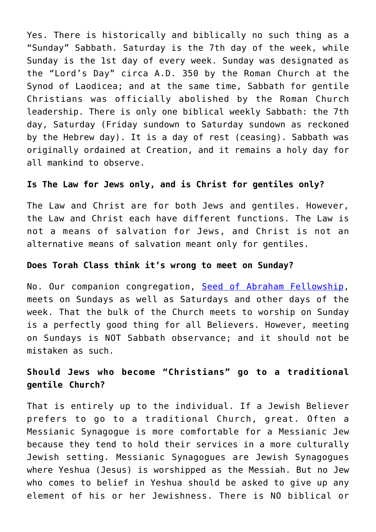Yes. There is historically and biblically no such thing as a "Sunday" Sabbath. Saturday is the 7th day of the week, while Sunday is the 1st day of every week. Sunday was designated as the "Lord's Day" circa A.D. 350 by the Roman Church at the Synod of Laodicea; and at the same time, Sabbath for gentile Christians was officially abolished by the Roman Church leadership. There is only one biblical weekly Sabbath: the 7th day, Saturday (Friday sundown to Saturday sundown as reckoned by the Hebrew day). It is a day of rest (ceasing). Sabbath was originally ordained at Creation, and it remains a holy day for all mankind to observe.

## **Is The Law for Jews only, and is Christ for gentiles only?**

The Law and Christ are for both Jews and gentiles. However, the Law and Christ each have different functions. The Law is not a means of salvation for Jews, and Christ is not an alternative means of salvation meant only for gentiles.

#### **Does Torah Class think it's wrong to meet on Sunday?**

No. Our companion congregation, [Seed of Abraham Fellowship,](https://www.seedofabrahamfellowship.com/) meets on Sundays as well as Saturdays and other days of the week. That the bulk of the Church meets to worship on Sunday is a perfectly good thing for all Believers. However, meeting on Sundays is NOT Sabbath observance; and it should not be mistaken as such.

# **Should Jews who become "Christians" go to a traditional gentile Church?**

That is entirely up to the individual. If a Jewish Believer prefers to go to a traditional Church, great. Often a Messianic Synagogue is more comfortable for a Messianic Jew because they tend to hold their services in a more culturally Jewish setting. Messianic Synagogues are Jewish Synagogues where Yeshua (Jesus) is worshipped as the Messiah. But no Jew who comes to belief in Yeshua should be asked to give up any element of his or her Jewishness. There is NO biblical or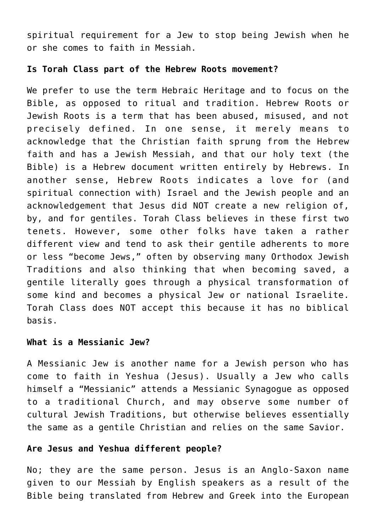spiritual requirement for a Jew to stop being Jewish when he or she comes to faith in Messiah.

#### **Is Torah Class part of the Hebrew Roots movement?**

We prefer to use the term Hebraic Heritage and to focus on the Bible, as opposed to ritual and tradition. Hebrew Roots or Jewish Roots is a term that has been abused, misused, and not precisely defined. In one sense, it merely means to acknowledge that the Christian faith sprung from the Hebrew faith and has a Jewish Messiah, and that our holy text (the Bible) is a Hebrew document written entirely by Hebrews. In another sense, Hebrew Roots indicates a love for (and spiritual connection with) Israel and the Jewish people and an acknowledgement that Jesus did NOT create a new religion of, by, and for gentiles. Torah Class believes in these first two tenets. However, some other folks have taken a rather different view and tend to ask their gentile adherents to more or less "become Jews," often by observing many Orthodox Jewish Traditions and also thinking that when becoming saved, a gentile literally goes through a physical transformation of some kind and becomes a physical Jew or national Israelite. Torah Class does NOT accept this because it has no biblical basis.

## **What is a Messianic Jew?**

A Messianic Jew is another name for a Jewish person who has come to faith in Yeshua (Jesus). Usually a Jew who calls himself a "Messianic" attends a Messianic Synagogue as opposed to a traditional Church, and may observe some number of cultural Jewish Traditions, but otherwise believes essentially the same as a gentile Christian and relies on the same Savior.

## **Are Jesus and Yeshua different people?**

No; they are the same person. Jesus is an Anglo-Saxon name given to our Messiah by English speakers as a result of the Bible being translated from Hebrew and Greek into the European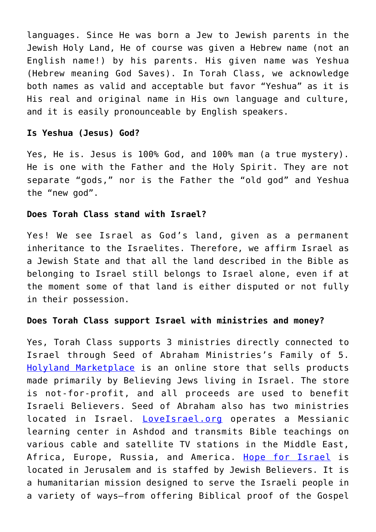languages. Since He was born a Jew to Jewish parents in the Jewish Holy Land, He of course was given a Hebrew name (not an English name!) by his parents. His given name was Yeshua (Hebrew meaning God Saves). In Torah Class, we acknowledge both names as valid and acceptable but favor "Yeshua" as it is His real and original name in His own language and culture, and it is easily pronounceable by English speakers.

## **Is Yeshua (Jesus) God?**

Yes, He is. Jesus is 100% God, and 100% man (a true mystery). He is one with the Father and the Holy Spirit. They are not separate "gods," nor is the Father the "old god" and Yeshua the "new god".

## **Does Torah Class stand with Israel?**

Yes! We see Israel as God's land, given as a permanent inheritance to the Israelites. Therefore, we affirm Israel as a Jewish State and that all the land described in the Bible as belonging to Israel still belongs to Israel alone, even if at the moment some of that land is either disputed or not fully in their possession.

## **Does Torah Class support Israel with ministries and money?**

Yes, Torah Class supports 3 ministries directly connected to Israel through Seed of Abraham Ministries's Family of 5. [Holyland Marketplace](https://holylandmarketplace.com/) is an online store that sells products made primarily by Believing Jews living in Israel. The store is not-for-profit, and all proceeds are used to benefit Israeli Believers. Seed of Abraham also has two ministries located in Israel. [LoveIsrael.org](https://www.loveisrael.org/) operates a Messianic learning center in Ashdod and transmits Bible teachings on various cable and satellite TV stations in the Middle East, Africa, Europe, Russia, and America. [Hope for Israel](https://hope4israel.org/) is located in Jerusalem and is staffed by Jewish Believers. It is a humanitarian mission designed to serve the Israeli people in a variety of ways—from offering Biblical proof of the Gospel